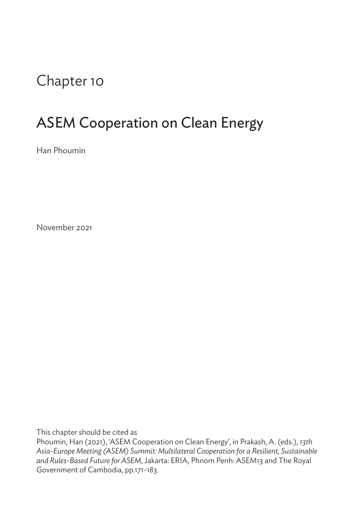## Chapter 10

## ASEM Cooperation on Clean Energy

Han Phoumin

November 2021

This chapter should be cited as

Phoumin, Han (2021), 'ASEM Cooperation on Clean Energy', in Prakash, A. (eds.), *13th Asia-Europe Meeting (ASEM) Summit: Multilateral Cooperation for a Resilient, Sustainable and Rules-Based Future for ASEM*, Jakarta: ERIA, Phnom Penh: ASEM13 and The Royal Government of Cambodia, pp.171-183.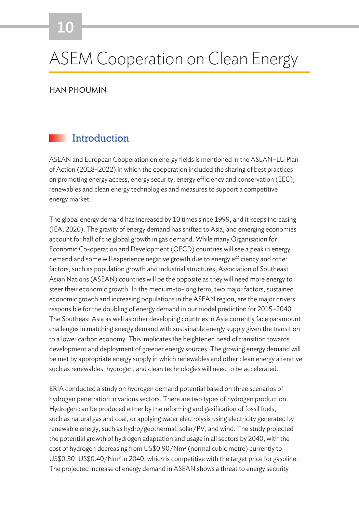# ASEM Cooperation on Clean Energy

HAN PHOUMIN

#### **Introduction**

ASEAN and European Cooperation on energy fields is mentioned in the ASEAN–EU Plan of Action (2018–2022) in which the cooperation included the sharing of best practices on promoting energy access, energy security, energy efficiency and conservation (EEC), renewables and clean energy technologies and measures to support a competitive energy market.

The global energy demand has increased by 10 times since 1999, and it keeps increasing (IEA, 2020). The gravity of energy demand has shifted to Asia, and emerging economies account for half of the global growth in gas demand. While many Organisation for Economic Co-operation and Development (OECD) countries will see a peak in energy demand and some will experience negative growth due to energy efficiency and other factors, such as population growth and industrial structures, Association of Southeast Asian Nations (ASEAN) countries will be the opposite as they will need more energy to steer their economic growth. In the medium-to-long term, two major factors, sustained economic growth and increasing populations in the ASEAN region, are the major drivers responsible for the doubling of energy demand in our model prediction for 2015–2040. The Southeast Asia as well as other developing countries in Asia currently face paramount challenges in matching energy demand with sustainable energy supply given the transition to a lower carbon economy. This implicates the heightened need of transition towards development and deployment of greener energy sources. The growing energy demand will be met by appropriate energy supply in which renewables and other clean energy alterative such as renewables, hydrogen, and clean technologies will need to be accelerated.

ERIA conducted a study on hydrogen demand potential based on three scenarios of hydrogen penetration in various sectors. There are two types of hydrogen production. Hydrogen can be produced either by the reforming and gasification of fossil fuels, such as natural gas and coal, or applying water electrolysis using electricity generated by renewable energy, such as hydro/geothermal, solar/PV, and wind. The study projected the potential growth of hydrogen adaptation and usage in all sectors by 2040, with the cost of hydrogen decreasing from US\$0.90/Nm<sup>3</sup> (normal cubic metre) currently to  $US$0.30-US$0.40/Nm<sup>3</sup>$  in 2040, which is competitive with the target price for gasoline. The projected increase of energy demand in ASEAN shows a threat to energy security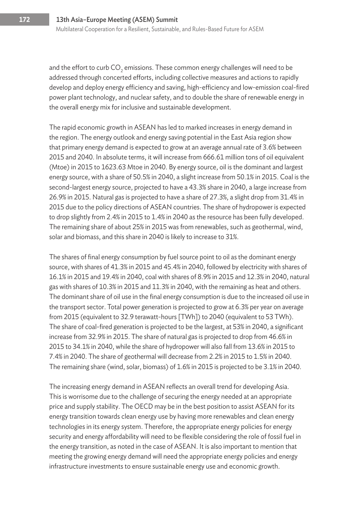and the effort to curb CO<sub>2</sub> emissions. These common energy challenges will need to be addressed through concerted efforts, including collective measures and actions to rapidly develop and deploy energy efficiency and saving, high-efficiency and low-emission coal-fired power plant technology, and nuclear safety, and to double the share of renewable energy in the overall energy mix for inclusive and sustainable development.

The rapid economic growth in ASEAN has led to marked increases in energy demand in the region. The energy outlook and energy saving potential in the East Asia region show that primary energy demand is expected to grow at an average annual rate of 3.6% between 2015 and 2040. In absolute terms, it will increase from 666.61 million tons of oil equivalent (Mtoe) in 2015 to 1623.63 Mtoe in 2040. By energy source, oil is the dominant and largest energy source, with a share of 50.5% in 2040, a slight increase from 50.1% in 2015. Coal is the second-largest energy source, projected to have a 43.3% share in 2040, a large increase from 26.9% in 2015. Natural gas is projected to have a share of 27.3%, a slight drop from 31.4% in 2015 due to the policy directions of ASEAN countries. The share of hydropower is expected to drop slightly from 2.4% in 2015 to 1.4% in 2040 as the resource has been fully developed. The remaining share of about 25% in 2015 was from renewables, such as geothermal, wind, solar and biomass, and this share in 2040 is likely to increase to 31%.

The shares of final energy consumption by fuel source point to oil as the dominant energy source, with shares of 41.3% in 2015 and 45.4% in 2040, followed by electricity with shares of 16.1% in 2015 and 19.4% in 2040, coal with shares of 8.9% in 2015 and 12.3% in 2040, natural gas with shares of 10.3% in 2015 and 11.3% in 2040, with the remaining as heat and others. The dominant share of oil use in the final energy consumption is due to the increased oil use in the transport sector. Total power generation is projected to grow at 6.3% per year on average from 2015 (equivalent to 32.9 terawatt-hours [TWh]) to 2040 (equivalent to 53 TWh). The share of coal-fired generation is projected to be the largest, at 53% in 2040, a significant increase from 32.9% in 2015. The share of natural gas is projected to drop from 46.6% in 2015 to 34.1% in 2040, while the share of hydropower will also fall from 13.6% in 2015 to 7.4% in 2040. The share of geothermal will decrease from 2.2% in 2015 to 1.5% in 2040. The remaining share (wind, solar, biomass) of 1.6% in 2015 is projected to be 3.1% in 2040.

The increasing energy demand in ASEAN reflects an overall trend for developing Asia. This is worrisome due to the challenge of securing the energy needed at an appropriate price and supply stability. The OECD may be in the best position to assist ASEAN for its energy transition towards clean energy use by having more renewables and clean energy technologies in its energy system. Therefore, the appropriate energy policies for energy security and energy affordability will need to be flexible considering the role of fossil fuel in the energy transition, as noted in the case of ASEAN. It is also important to mention that meeting the growing energy demand will need the appropriate energy policies and energy infrastructure investments to ensure sustainable energy use and economic growth.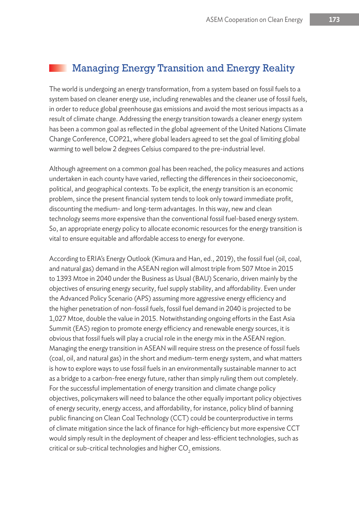#### Managing Energy Transition and Energy Reality

The world is undergoing an energy transformation, from a system based on fossil fuels to a system based on cleaner energy use, including renewables and the cleaner use of fossil fuels, in order to reduce global greenhouse gas emissions and avoid the most serious impacts as a result of climate change. Addressing the energy transition towards a cleaner energy system has been a common goal as reflected in the global agreement of the United Nations Climate Change Conference, COP21, where global leaders agreed to set the goal of limiting global warming to well below 2 degrees Celsius compared to the pre-industrial level.

Although agreement on a common goal has been reached, the policy measures and actions undertaken in each county have varied, reflecting the differences in their socioeconomic, political, and geographical contexts. To be explicit, the energy transition is an economic problem, since the present financial system tends to look only toward immediate profit, discounting the medium- and long-term advantages. In this way, new and clean technology seems more expensive than the conventional fossil fuel-based energy system. So, an appropriate energy policy to allocate economic resources for the energy transition is vital to ensure equitable and affordable access to energy for everyone.

According to ERIA's Energy Outlook (Kimura and Han, ed., 2019), the fossil fuel (oil, coal, and natural gas) demand in the ASEAN region will almost triple from 507 Mtoe in 2015 to 1393 Mtoe in 2040 under the Business as Usual (BAU) Scenario, driven mainly by the objectives of ensuring energy security, fuel supply stability, and affordability. Even under the Advanced Policy Scenario (APS) assuming more aggressive energy efficiency and the higher penetration of non-fossil fuels, fossil fuel demand in 2040 is projected to be 1,027 Mtoe, double the value in 2015. Notwithstanding ongoing efforts in the East Asia Summit (EAS) region to promote energy efficiency and renewable energy sources, it is obvious that fossil fuels will play a crucial role in the energy mix in the ASEAN region. Managing the energy transition in ASEAN will require stress on the presence of fossil fuels (coal, oil, and natural gas) in the short and medium-term energy system, and what matters is how to explore ways to use fossil fuels in an environmentally sustainable manner to act as a bridge to a carbon-free energy future, rather than simply ruling them out completely. For the successful implementation of energy transition and climate change policy objectives, policymakers will need to balance the other equally important policy objectives of energy security, energy access, and affordability, for instance, policy blind of banning public financing on Clean Coal Technology (CCT) could be counterproductive in terms of climate mitigation since the lack of finance for high-efficiency but more expensive CCT would simply result in the deployment of cheaper and less-efficient technologies, such as critical or sub-critical technologies and higher CO $_2$  emissions.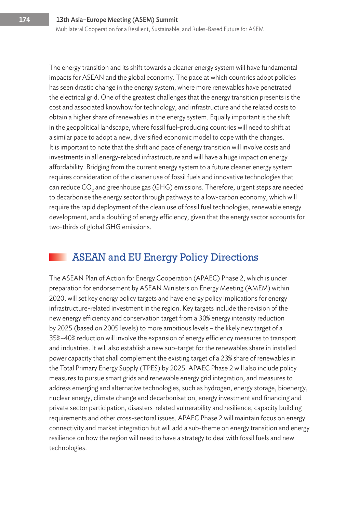The energy transition and its shift towards a cleaner energy system will have fundamental impacts for ASEAN and the global economy. The pace at which countries adopt policies has seen drastic change in the energy system, where more renewables have penetrated the electrical grid. One of the greatest challenges that the energy transition presents is the cost and associated knowhow for technology, and infrastructure and the related costs to obtain a higher share of renewables in the energy system. Equally important is the shift in the geopolitical landscape, where fossil fuel-producing countries will need to shift at a similar pace to adopt a new, diversified economic model to cope with the changes. It is important to note that the shift and pace of energy transition will involve costs and investments in all energy-related infrastructure and will have a huge impact on energy affordability. Bridging from the current energy system to a future cleaner energy system requires consideration of the cleaner use of fossil fuels and innovative technologies that can reduce CO<sub>2</sub> and greenhouse gas (GHG) emissions. Therefore, urgent steps are needed to decarbonise the energy sector through pathways to a low-carbon economy, which will require the rapid deployment of the clean use of fossil fuel technologies, renewable energy development, and a doubling of energy efficiency, given that the energy sector accounts for two-thirds of global GHG emissions.

#### ASEAN and EU Energy Policy Directions

The ASEAN Plan of Action for Energy Cooperation (APAEC) Phase 2, which is under preparation for endorsement by ASEAN Ministers on Energy Meeting (AMEM) within 2020, will set key energy policy targets and have energy policy implications for energy infrastructure-related investment in the region. Key targets include the revision of the new energy efficiency and conservation target from a 30% energy intensity reduction by 2025 (based on 2005 levels) to more ambitious levels – the likely new target of a 35%–40% reduction will involve the expansion of energy efficiency measures to transport and industries. It will also establish a new sub-target for the renewables share in installed power capacity that shall complement the existing target of a 23% share of renewables in the Total Primary Energy Supply (TPES) by 2025. APAEC Phase 2 will also include policy measures to pursue smart grids and renewable energy grid integration, and measures to address emerging and alternative technologies, such as hydrogen, energy storage, bioenergy, nuclear energy, climate change and decarbonisation, energy investment and financing and private sector participation, disasters-related vulnerability and resilience, capacity building requirements and other cross-sectoral issues. APAEC Phase 2 will maintain focus on energy connectivity and market integration but will add a sub-theme on energy transition and energy resilience on how the region will need to have a strategy to deal with fossil fuels and new technologies.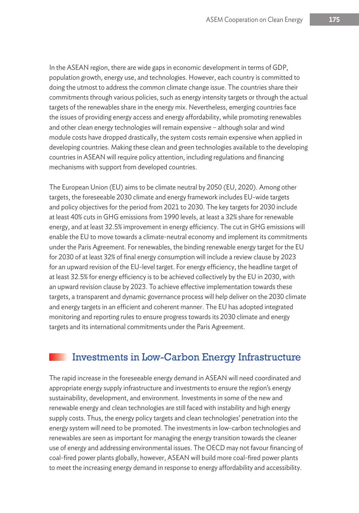In the ASEAN region, there are wide gaps in economic development in terms of GDP, population growth, energy use, and technologies. However, each country is committed to doing the utmost to address the common climate change issue. The countries share their commitments through various policies, such as energy intensity targets or through the actual targets of the renewables share in the energy mix. Nevertheless, emerging countries face the issues of providing energy access and energy affordability, while promoting renewables and other clean energy technologies will remain expensive – although solar and wind module costs have dropped drastically, the system costs remain expensive when applied in developing countries. Making these clean and green technologies available to the developing countries in ASEAN will require policy attention, including regulations and financing mechanisms with support from developed countries.

The European Union (EU) aims to be climate neutral by 2050 (EU, 2020). Among other targets, the foreseeable 2030 climate and energy framework includes EU-wide targets and policy objectives for the period from 2021 to 2030. The key targets for 2030 include at least 40% cuts in GHG emissions from 1990 levels, at least a 32% share for renewable energy, and at least 32.5% improvement in energy efficiency. The cut in GHG emissions will enable the EU to move towards a climate-neutral economy and implement its commitments under the Paris Agreement. For renewables, the binding renewable energy target for the EU for 2030 of at least 32% of final energy consumption will include a review clause by 2023 for an upward revision of the EU-level target. For energy efficiency, the headline target of at least 32.5% for energy efficiency is to be achieved collectively by the EU in 2030, with an upward revision clause by 2023. To achieve effective implementation towards these targets, a transparent and dynamic governance process will help deliver on the 2030 climate and energy targets in an efficient and coherent manner. The EU has adopted integrated monitoring and reporting rules to ensure progress towards its 2030 climate and energy targets and its international commitments under the Paris Agreement.

#### Investments in Low-Carbon Energy Infrastructure

The rapid increase in the foreseeable energy demand in ASEAN will need coordinated and appropriate energy supply infrastructure and investments to ensure the region's energy sustainability, development, and environment. Investments in some of the new and renewable energy and clean technologies are still faced with instability and high energy supply costs. Thus, the energy policy targets and clean technologies' penetration into the energy system will need to be promoted. The investments in low-carbon technologies and renewables are seen as important for managing the energy transition towards the cleaner use of energy and addressing environmental issues. The OECD may not favour financing of coal-fired power plants globally, however, ASEAN will build more coal-fired power plants to meet the increasing energy demand in response to energy affordability and accessibility.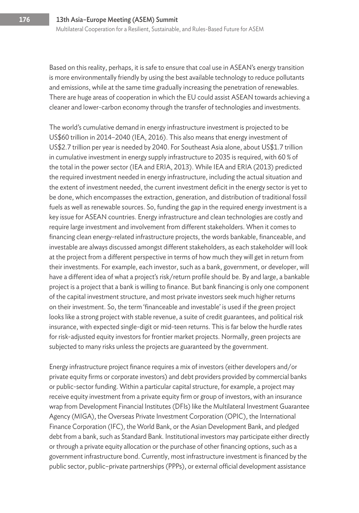Based on this reality, perhaps, it is safe to ensure that coal use in ASEAN's energy transition is more environmentally friendly by using the best available technology to reduce pollutants and emissions, while at the same time gradually increasing the penetration of renewables. There are huge areas of cooperation in which the EU could assist ASEAN towards achieving a cleaner and lower-carbon economy through the transfer of technologies and investments.

The world's cumulative demand in energy infrastructure investment is projected to be US\$60 trillion in 2014–2040 (IEA, 2016). This also means that energy investment of US\$2.7 trillion per year is needed by 2040. For Southeast Asia alone, about US\$1.7 trillion in cumulative investment in energy supply infrastructure to 2035 is required, with 60 % of the total in the power sector (IEA and ERIA, 2013). While IEA and ERIA (2013) predicted the required investment needed in energy infrastructure, including the actual situation and the extent of investment needed, the current investment deficit in the energy sector is yet to be done, which encompasses the extraction, generation, and distribution of traditional fossil fuels as well as renewable sources. So, funding the gap in the required energy investment is a key issue for ASEAN countries. Energy infrastructure and clean technologies are costly and require large investment and involvement from different stakeholders. When it comes to financing clean energy-related infrastructure projects, the words bankable, financeable, and investable are always discussed amongst different stakeholders, as each stakeholder will look at the project from a different perspective in terms of how much they will get in return from their investments. For example, each investor, such as a bank, government, or developer, will have a different idea of what a project's risk/return profile should be. By and large, a bankable project is a project that a bank is willing to finance. But bank financing is only one component of the capital investment structure, and most private investors seek much higher returns on their investment. So, the term 'financeable and investable' is used if the green project looks like a strong project with stable revenue, a suite of credit guarantees, and political risk insurance, with expected single-digit or mid-teen returns. This is far below the hurdle rates for risk-adjusted equity investors for frontier market projects. Normally, green projects are subjected to many risks unless the projects are guaranteed by the government.

Energy infrastructure project finance requires a mix of investors (either developers and/or private equity firms or corporate investors) and debt providers provided by commercial banks or public-sector funding. Within a particular capital structure, for example, a project may receive equity investment from a private equity firm or group of investors, with an insurance wrap from Development Financial Institutes (DFIs) like the Multilateral Investment Guarantee Agency (MIGA), the Overseas Private Investment Corporation (OPIC), the International Finance Corporation (IFC), the World Bank, or the Asian Development Bank, and pledged debt from a bank, such as Standard Bank. Institutional investors may participate either directly or through a private equity allocation or the purchase of other financing options, such as a government infrastructure bond. Currently, most infrastructure investment is financed by the public sector, public–private partnerships (PPPs), or external official development assistance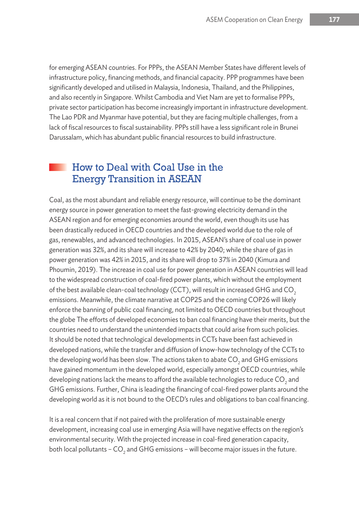for emerging ASEAN countries. For PPPs, the ASEAN Member States have different levels of infrastructure policy, financing methods, and financial capacity. PPP programmes have been significantly developed and utilised in Malaysia, Indonesia, Thailand, and the Philippines, and also recently in Singapore. Whilst Cambodia and Viet Nam are yet to formalise PPPs, private sector participation has become increasingly important in infrastructure development. The Lao PDR and Myanmar have potential, but they are facing multiple challenges, from a lack of fiscal resources to fiscal sustainability. PPPs still have a less significant role in Brunei Darussalam, which has abundant public financial resources to build infrastructure.

#### How to Deal with Coal Use in the Energy Transition in ASEAN

Coal, as the most abundant and reliable energy resource, will continue to be the dominant energy source in power generation to meet the fast-growing electricity demand in the ASEAN region and for emerging economies around the world, even though its use has been drastically reduced in OECD countries and the developed world due to the role of gas, renewables, and advanced technologies. In 2015, ASEAN's share of coal use in power generation was 32%, and its share will increase to 42% by 2040; while the share of gas in power generation was 42% in 2015, and its share will drop to 37% in 2040 (Kimura and Phoumin, 2019). The increase in coal use for power generation in ASEAN countries will lead to the widespread construction of coal-fired power plants, which without the employment of the best available clean-coal technology (CCT), will result in increased GHG and CO<sub>2</sub> emissions. Meanwhile, the climate narrative at COP25 and the coming COP26 will likely enforce the banning of public coal financing, not limited to OECD countries but throughout the globe The efforts of developed economies to ban coal financing have their merits, but the countries need to understand the unintended impacts that could arise from such policies. It should be noted that technological developments in CCTs have been fast achieved in developed nations, while the transfer and diffusion of know-how technology of the CCTs to the developing world has been slow. The actions taken to abate CO<sub>2</sub> and GHG emissions have gained momentum in the developed world, especially amongst OECD countries, while developing nations lack the means to afford the available technologies to reduce CO<sub>2</sub> and GHG emissions. Further, China is leading the financing of coal-fired power plants around the developing world as it is not bound to the OECD's rules and obligations to ban coal financing.

It is a real concern that if not paired with the proliferation of more sustainable energy development, increasing coal use in emerging Asia will have negative effects on the region's environmental security. With the projected increase in coal-fired generation capacity, both local pollutants – CO<sub>2</sub> and GHG emissions – will become major issues in the future.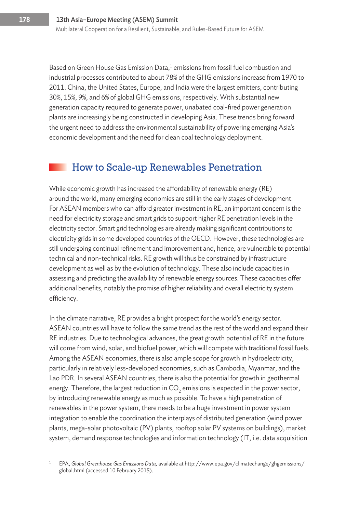Based on Green House Gas Emission Data, $<sup>1</sup>$  emissions from fossil fuel combustion and</sup> industrial processes contributed to about 78% of the GHG emissions increase from 1970 to 2011. China, the United States, Europe, and India were the largest emitters, contributing 30%, 15%, 9%, and 6% of global GHG emissions, respectively. With substantial new generation capacity required to generate power, unabated coal-fired power generation plants are increasingly being constructed in developing Asia. These trends bring forward the urgent need to address the environmental sustainability of powering emerging Asia's economic development and the need for clean coal technology deployment.

#### How to Scale-up Renewables Penetration

While economic growth has increased the affordability of renewable energy (RE) around the world, many emerging economies are still in the early stages of development. For ASEAN members who can afford greater investment in RE, an important concern is the need for electricity storage and smart grids to support higher RE penetration levels in the electricity sector. Smart grid technologies are already making significant contributions to electricity grids in some developed countries of the OECD. However, these technologies are still undergoing continual refinement and improvement and, hence, are vulnerable to potential technical and non-technical risks. RE growth will thus be constrained by infrastructure development as well as by the evolution of technology. These also include capacities in assessing and predicting the availability of renewable energy sources. These capacities offer additional benefits, notably the promise of higher reliability and overall electricity system efficiency.

In the climate narrative, RE provides a bright prospect for the world's energy sector. ASEAN countries will have to follow the same trend as the rest of the world and expand their RE industries. Due to technological advances, the great growth potential of RE in the future will come from wind, solar, and biofuel power, which will compete with traditional fossil fuels. Among the ASEAN economies, there is also ample scope for growth in hydroelectricity, particularly in relatively less-developed economies, such as Cambodia, Myanmar, and the Lao PDR. In several ASEAN countries, there is also the potential for growth in geothermal energy. Therefore, the largest reduction in CO<sub>2</sub> emissions is expected in the power sector, by introducing renewable energy as much as possible. To have a high penetration of renewables in the power system, there needs to be a huge investment in power system integration to enable the coordination the interplays of distributed generation (wind power plants, mega-solar photovoltaic (PV) plants, rooftop solar PV systems on buildings), market system, demand response technologies and information technology (IT, i.e. data acquisition

<sup>1</sup> EPA, *Global Greenhouse Gas Emissions Data,* available at http://www.epa.gov/climatechange/ghgemissions/ global.html (accessed 10 February 2015).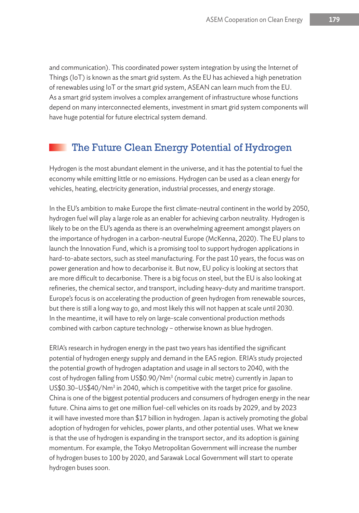and communication). This coordinated power system integration by using the Internet of Things (IoT) is known as the smart grid system. As the EU has achieved a high penetration of renewables using IoT or the smart grid system, ASEAN can learn much from the EU. As a smart grid system involves a complex arrangement of infrastructure whose functions depend on many interconnected elements, investment in smart grid system components will have huge potential for future electrical system demand.

#### The Future Clean Energy Potential of Hydrogen

Hydrogen is the most abundant element in the universe, and it has the potential to fuel the economy while emitting little or no emissions. Hydrogen can be used as a clean energy for vehicles, heating, electricity generation, industrial processes, and energy storage.

In the EU's ambition to make Europe the first climate-neutral continent in the world by 2050, hydrogen fuel will play a large role as an enabler for achieving carbon neutrality. Hydrogen is likely to be on the EU's agenda as there is an overwhelming agreement amongst players on the importance of hydrogen in a carbon-neutral Europe (McKenna, 2020). The EU plans to launch the Innovation Fund, which is a promising tool to support hydrogen applications in hard-to-abate sectors, such as steel manufacturing. For the past 10 years, the focus was on power generation and how to decarbonise it. But now, EU policy is looking at sectors that are more difficult to decarbonise. There is a big focus on steel, but the EU is also looking at refineries, the chemical sector, and transport, including heavy-duty and maritime transport. Europe's focus is on accelerating the production of green hydrogen from renewable sources, but there is still a long way to go, and most likely this will not happen at scale until 2030. In the meantime, it will have to rely on large-scale conventional production methods combined with carbon capture technology – otherwise known as blue hydrogen.

ERIA's research in hydrogen energy in the past two years has identified the significant potential of hydrogen energy supply and demand in the EAS region. ERIA's study projected the potential growth of hydrogen adaptation and usage in all sectors to 2040, with the cost of hydrogen falling from US\$0.90/Nm $^3$  (normal cubic metre) currently in Japan to US\$0.30–US\$40/Nm<sup>3</sup> in 2040, which is competitive with the target price for gasoline. China is one of the biggest potential producers and consumers of hydrogen energy in the near future. China aims to get one million fuel-cell vehicles on its roads by 2029, and by 2023 it will have invested more than \$17 billion in hydrogen. Japan is actively promoting the global adoption of hydrogen for vehicles, power plants, and other potential uses. What we knew is that the use of hydrogen is expanding in the transport sector, and its adoption is gaining momentum. For example, the Tokyo Metropolitan Government will increase the number of hydrogen buses to 100 by 2020, and Sarawak Local Government will start to operate hydrogen buses soon.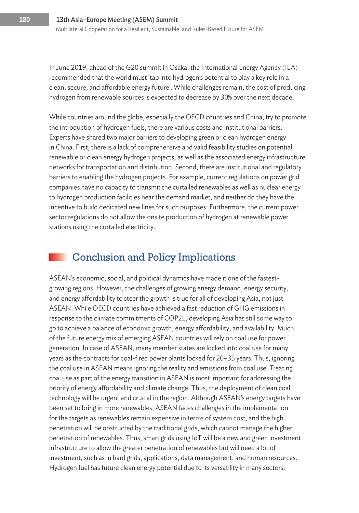In June 2019, ahead of the G20 summit in Osaka, the International Energy Agency (IEA) recommended that the world must 'tap into hydrogen's potential to play a key role in a clean, secure, and affordable energy future'. While challenges remain, the cost of producing hydrogen from renewable sources is expected to decrease by 30% over the next decade.

While countries around the globe, especially the OECD countries and China, try to promote the introduction of hydrogen fuels, there are various costs and institutional barriers. Experts have shared two major barriers to developing green or clean hydrogen energy in China. First, there is a lack of comprehensive and valid feasibility studies on potential renewable or clean energy hydrogen projects, as well as the associated energy infrastructure networks for transportation and distribution. Second, there are institutional and regulatory barriers to enabling the hydrogen projects. For example, current regulations on power grid companies have no capacity to transmit the curtailed renewables as well as nuclear energy to hydrogen production facilities near the demand market, and neither do they have the incentive to build dedicated new lines for such purposes. Furthermore, the current power sector regulations do not allow the onsite production of hydrogen at renewable power stations using the curtailed electricity.

#### Conclusion and Policy Implications

ASEAN's economic, social, and political dynamics have made it one of the fastestgrowing regions. However, the challenges of growing energy demand, energy security, and energy affordability to steer the growth is true for all of developing Asia, not just ASEAN. While OECD countries have achieved a fast reduction of GHG emissions in response to the climate commitments of COP21, developing Asia has still some way to go to achieve a balance of economic growth, energy affordability, and availability. Much of the future energy mix of emerging ASEAN countries will rely on coal use for power generation. In case of ASEAN, many member states are locked into coal use for many years as the contracts for coal-fired power plants locked for 20–35 years. Thus, ignoring the coal use in ASEAN means ignoring the reality and emissions from coal use. Treating coal use as part of the energy transition in ASEAN is most important for addressing the priority of energy affordability and climate change. Thus, the deployment of clean coal technology will be urgent and crucial in the region. Although ASEAN's energy targets have been set to bring in more renewables, ASEAN faces challenges in the implementation for the targets as renewables remain expensive in terms of system cost, and the high penetration will be obstructed by the traditional grids, which cannot manage the higher penetration of renewables. Thus, smart grids using IoT will be a new and green investment infrastructure to allow the greater penetration of renewables but will need a lot of investment, such as in hard grids, applications, data management, and human resources. Hydrogen fuel has future clean energy potential due to its versatility in many sectors.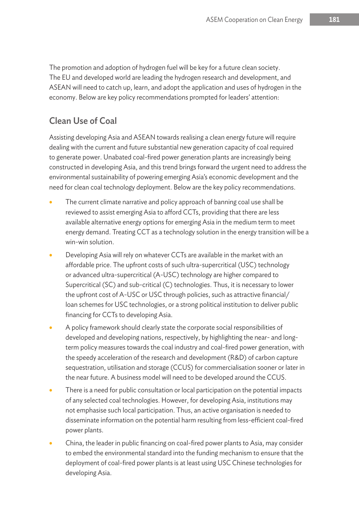The promotion and adoption of hydrogen fuel will be key for a future clean society. The EU and developed world are leading the hydrogen research and development, and ASEAN will need to catch up, learn, and adopt the application and uses of hydrogen in the economy. Below are key policy recommendations prompted for leaders' attention:

#### Clean Use of Coal

Assisting developing Asia and ASEAN towards realising a clean energy future will require dealing with the current and future substantial new generation capacity of coal required to generate power. Unabated coal-fired power generation plants are increasingly being constructed in developing Asia, and this trend brings forward the urgent need to address the environmental sustainability of powering emerging Asia's economic development and the need for clean coal technology deployment. Below are the key policy recommendations.

- The current climate narrative and policy approach of banning coal use shall be reviewed to assist emerging Asia to afford CCTs, providing that there are less available alternative energy options for emerging Asia in the medium term to meet energy demand. Treating CCT as a technology solution in the energy transition will be a win-win solution.
- Developing Asia will rely on whatever CCTs are available in the market with an affordable price. The upfront costs of such ultra-supercritical (USC) technology or advanced ultra-supercritical (A-USC) technology are higher compared to Supercritical (SC) and sub-critical (C) technologies. Thus, it is necessary to lower the upfront cost of A-USC or USC through policies, such as attractive financial/ loan schemes for USC technologies, or a strong political institution to deliver public financing for CCTs to developing Asia.
- A policy framework should clearly state the corporate social responsibilities of developed and developing nations, respectively, by highlighting the near- and longterm policy measures towards the coal industry and coal-fired power generation, with the speedy acceleration of the research and development (R&D) of carbon capture sequestration, utilisation and storage (CCUS) for commercialisation sooner or later in the near future. A business model will need to be developed around the CCUS.
- There is a need for public consultation or local participation on the potential impacts of any selected coal technologies. However, for developing Asia, institutions may not emphasise such local participation. Thus, an active organisation is needed to disseminate information on the potential harm resulting from less-efficient coal-fired power plants.
- China, the leader in public financing on coal-fired power plants to Asia, may consider to embed the environmental standard into the funding mechanism to ensure that the deployment of coal-fired power plants is at least using USC Chinese technologies for developing Asia.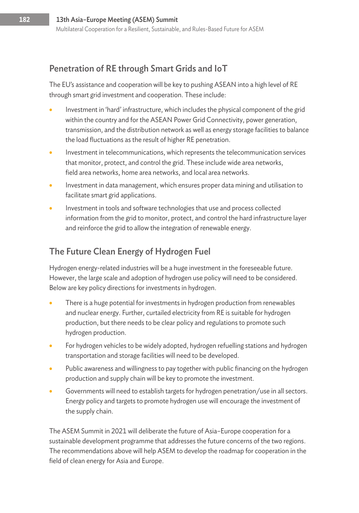#### Penetration of RE through Smart Grids and IoT

The EU's assistance and cooperation will be key to pushing ASEAN into a high level of RE through smart grid investment and cooperation. These include:

- Investment in 'hard' infrastructure, which includes the physical component of the grid within the country and for the ASEAN Power Grid Connectivity, power generation, transmission, and the distribution network as well as energy storage facilities to balance the load fluctuations as the result of higher RE penetration.
- Investment in telecommunications, which represents the telecommunication services that monitor, protect, and control the grid. These include wide area networks, field area networks, home area networks, and local area networks.
- Investment in data management, which ensures proper data mining and utilisation to facilitate smart grid applications.
- Investment in tools and software technologies that use and process collected information from the grid to monitor, protect, and control the hard infrastructure layer and reinforce the grid to allow the integration of renewable energy.

#### The Future Clean Energy of Hydrogen Fuel

Hydrogen energy-related industries will be a huge investment in the foreseeable future. However, the large scale and adoption of hydrogen use policy will need to be considered. Below are key policy directions for investments in hydrogen.

- There is a huge potential for investments in hydrogen production from renewables and nuclear energy. Further, curtailed electricity from RE is suitable for hydrogen production, but there needs to be clear policy and regulations to promote such hydrogen production.
- For hydrogen vehicles to be widely adopted, hydrogen refuelling stations and hydrogen transportation and storage facilities will need to be developed.
- Public awareness and willingness to pay together with public financing on the hydrogen production and supply chain will be key to promote the investment.
- Governments will need to establish targets for hydrogen penetration/use in all sectors. Energy policy and targets to promote hydrogen use will encourage the investment of the supply chain.

The ASEM Summit in 2021 will deliberate the future of Asia–Europe cooperation for a sustainable development programme that addresses the future concerns of the two regions. The recommendations above will help ASEM to develop the roadmap for cooperation in the field of clean energy for Asia and Europe.